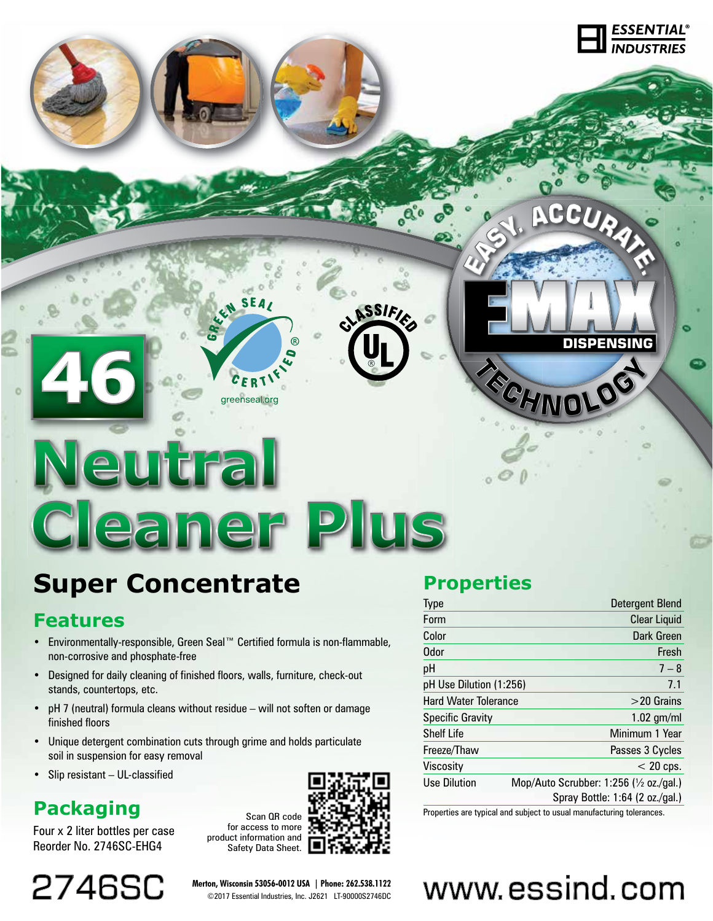# Neutral **Cleaner Plus**

N SEAL

greenseal.org

## **Super Concentrate**

#### **Features**

- Environmentally-responsible, Green Seal™ Certified formula is non-flammable, non-corrosive and phosphate-free
- Designed for daily cleaning of finished floors, walls, furniture, check-out stands, countertops, etc.
- pH 7 (neutral) formula cleans without residue will not soften or damage finished floors
- Unique detergent combination cuts through grime and holds particulate soil in suspension for easy removal
- Slip resistant UL-classified

## **Packaging**

Four x 2 liter bottles per case Reorder No. 2746SC-EHG4

2746SC

Scan QR code for access to more product information and Safety Data Sheet.

**Merton, Wisconsin 53056-0012 USA | Phone: 262.538.1122** ©2017 Essential Industries, Inc. J2621 LT-90000S2746DC



**SSIF** 

### **Properties**

| <b>Type</b>                 |                                                    | Detergent Blend                 |
|-----------------------------|----------------------------------------------------|---------------------------------|
| Form                        |                                                    | <b>Clear Liquid</b>             |
| Color                       |                                                    | Dark Green                      |
| Odor                        |                                                    | Fresh                           |
| рH                          |                                                    | $7 - 8$                         |
| pH Use Dilution (1:256)     |                                                    | 7.1                             |
| <b>Hard Water Tolerance</b> |                                                    | $>$ 20 Grains                   |
| <b>Specific Gravity</b>     |                                                    | $1.02$ gm/ml                    |
| <b>Shelf Life</b>           |                                                    | Minimum 1 Year                  |
| Freeze/Thaw                 |                                                    | Passes 3 Cycles                 |
| Viscosity                   |                                                    | $< 20$ cps.                     |
| Use Dilution                | Mop/Auto Scrubber: 1:256 ( $\frac{1}{2}$ oz./gal.) |                                 |
|                             |                                                    | Spray Bottle: 1:64 (2 oz./gal.) |

RECHNOLOG

**DISPENSING**

CCURA

 $\frac{\text{ESSENTIAL}}{\text{ص}\times\text{D}}$ 

Properties are typical and subject to usual manufacturing tolerances.

# www.essind.com